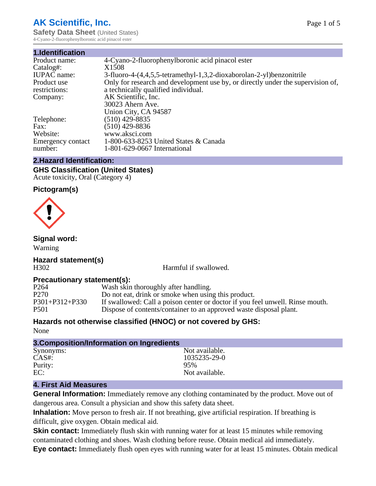## **AK Scientific, Inc.**

**Safety Data Sheet** (United States) 4-Cyano-2-fluorophenylboronic acid pinacol ester

| 4-Cyano-2-fluorophenylboronic acid pinacol ester                                |
|---------------------------------------------------------------------------------|
| X <sub>1508</sub>                                                               |
| 3-fluoro-4-(4,4,5,5-tetramethyl-1,3,2-dioxaborolan-2-yl)benzonitrile            |
| Only for research and development use by, or directly under the supervision of, |
| a technically qualified individual.                                             |
| AK Scientific, Inc.                                                             |
| 30023 Ahern Ave.                                                                |
| Union City, CA 94587                                                            |
| $(510)$ 429-8835                                                                |
| $(510)$ 429-8836                                                                |
| www.aksci.com                                                                   |
| 1-800-633-8253 United States & Canada                                           |
| 1-801-629-0667 International                                                    |
|                                                                                 |

## **2.Hazard Identification:**

**GHS Classification (United States)** Acute toxicity, Oral (Category 4)

## **Pictogram(s)**



## **Signal word:**

Warning

**Hazard statement(s)** H302 Harmful if swallowed.

# **Precautionary statement(s):**<br>P264 Wash skin

P264 Wash skin thoroughly after handling.<br>P270 Do not eat, drink or smoke when usin P270 Do not eat, drink or smoke when using this product.<br>P301+P312+P330 If swallowed: Call a poison center or doctor if you fe If swallowed: Call a poison center or doctor if you feel unwell. Rinse mouth. P501 Dispose of contents/container to an approved waste disposal plant.

## **Hazards not otherwise classified (HNOC) or not covered by GHS:**

None

| 3. Composition/Information on Ingredients |                |  |
|-------------------------------------------|----------------|--|
| Synonyms:                                 | Not available. |  |
| $CAS#$ :                                  | 1035235-29-0   |  |
| Purity:                                   | 95%            |  |
| EC:                                       | Not available. |  |

## **4. First Aid Measures**

**General Information:** Immediately remove any clothing contaminated by the product. Move out of dangerous area. Consult a physician and show this safety data sheet.

**Inhalation:** Move person to fresh air. If not breathing, give artificial respiration. If breathing is difficult, give oxygen. Obtain medical aid.

**Skin contact:** Immediately flush skin with running water for at least 15 minutes while removing contaminated clothing and shoes. Wash clothing before reuse. Obtain medical aid immediately. **Eye contact:** Immediately flush open eyes with running water for at least 15 minutes. Obtain medical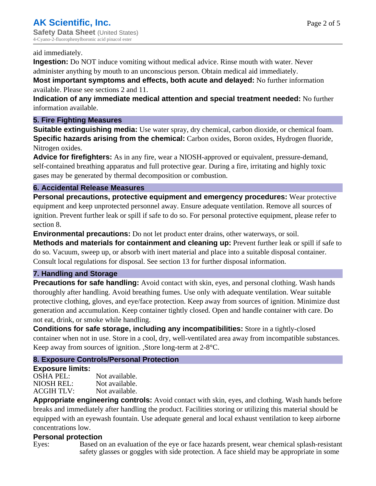#### aid immediately.

**Ingestion:** Do NOT induce vomiting without medical advice. Rinse mouth with water. Never administer anything by mouth to an unconscious person. Obtain medical aid immediately.

**Most important symptoms and effects, both acute and delayed:** No further information available. Please see sections 2 and 11.

**Indication of any immediate medical attention and special treatment needed:** No further information available.

## **5. Fire Fighting Measures**

**Suitable extinguishing media:** Use water spray, dry chemical, carbon dioxide, or chemical foam. **Specific hazards arising from the chemical:** Carbon oxides, Boron oxides, Hydrogen fluoride, Nitrogen oxides.

**Advice for firefighters:** As in any fire, wear a NIOSH-approved or equivalent, pressure-demand, self-contained breathing apparatus and full protective gear. During a fire, irritating and highly toxic gases may be generated by thermal decomposition or combustion.

### **6. Accidental Release Measures**

**Personal precautions, protective equipment and emergency procedures:** Wear protective equipment and keep unprotected personnel away. Ensure adequate ventilation. Remove all sources of ignition. Prevent further leak or spill if safe to do so. For personal protective equipment, please refer to section 8.

**Environmental precautions:** Do not let product enter drains, other waterways, or soil.

**Methods and materials for containment and cleaning up:** Prevent further leak or spill if safe to do so. Vacuum, sweep up, or absorb with inert material and place into a suitable disposal container. Consult local regulations for disposal. See section 13 for further disposal information.

#### **7. Handling and Storage**

**Precautions for safe handling:** Avoid contact with skin, eyes, and personal clothing. Wash hands thoroughly after handling. Avoid breathing fumes. Use only with adequate ventilation. Wear suitable protective clothing, gloves, and eye/face protection. Keep away from sources of ignition. Minimize dust generation and accumulation. Keep container tightly closed. Open and handle container with care. Do not eat, drink, or smoke while handling.

**Conditions for safe storage, including any incompatibilities:** Store in a tightly-closed container when not in use. Store in a cool, dry, well-ventilated area away from incompatible substances. Keep away from sources of ignition. ,Store long-term at 2-8°C.

## **8. Exposure Controls/Personal Protection**

#### **Exposure limits:**

OSHA PEL: Not available. NIOSH REL: Not available.<br>ACGIH TLV: Not available. ACGIH TLV:

**Appropriate engineering controls:** Avoid contact with skin, eyes, and clothing. Wash hands before breaks and immediately after handling the product. Facilities storing or utilizing this material should be equipped with an eyewash fountain. Use adequate general and local exhaust ventilation to keep airborne concentrations low.

## **Personal protection**

Eyes: Based on an evaluation of the eye or face hazards present, wear chemical splash-resistant safety glasses or goggles with side protection. A face shield may be appropriate in some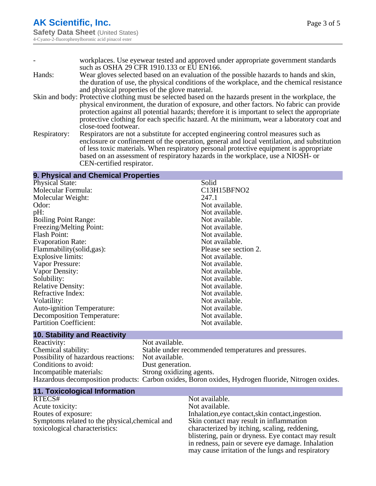|              | workplaces. Use eyewear tested and approved under appropriate government standards                     |
|--------------|--------------------------------------------------------------------------------------------------------|
|              | such as OSHA 29 CFR 1910.133 or EU EN166.                                                              |
| Hands:       | Wear gloves selected based on an evaluation of the possible hazards to hands and skin,                 |
|              | the duration of use, the physical conditions of the workplace, and the chemical resistance             |
|              | and physical properties of the glove material.                                                         |
|              | Skin and body: Protective clothing must be selected based on the hazards present in the workplace, the |
|              | physical environment, the duration of exposure, and other factors. No fabric can provide               |
|              | protection against all potential hazards; therefore it is important to select the appropriate          |
|              | protective clothing for each specific hazard. At the minimum, wear a laboratory coat and               |
|              | close-toed footwear.                                                                                   |
| Respiratory: | Respirators are not a substitute for accepted engineering control measures such as                     |
|              | enclosure or confinement of the operation, general and local ventilation, and substitution             |
|              | of less toxic materials. When respiratory personal protective equipment is appropriate                 |
|              | based on an assessment of respiratory hazards in the workplace, use a NIOSH- or                        |

CEN-certified respirator.

## **9. Physical and Chemical Properties**

| <b>Physical State:</b>            | Solid                 |
|-----------------------------------|-----------------------|
| Molecular Formula:                | C13H15BFNO2           |
| Molecular Weight:                 | 247.1                 |
| Odor:                             | Not available.        |
| pH:                               | Not available.        |
| <b>Boiling Point Range:</b>       | Not available.        |
| Freezing/Melting Point:           | Not available.        |
| <b>Flash Point:</b>               | Not available.        |
| <b>Evaporation Rate:</b>          | Not available.        |
| Flammability (solid, gas):        | Please see section 2. |
| Explosive limits:                 | Not available.        |
| Vapor Pressure:                   | Not available.        |
| Vapor Density:                    | Not available.        |
| Solubility:                       | Not available.        |
| <b>Relative Density:</b>          | Not available.        |
| Refractive Index:                 | Not available.        |
| Volatility:                       | Not available.        |
| <b>Auto-ignition Temperature:</b> | Not available.        |
| Decomposition Temperature:        | Not available.        |
| <b>Partition Coefficient:</b>     | Not available.        |
|                                   |                       |

## **10. Stability and Reactivity**

| Reactivity:                         | Not available.                                                                                     |
|-------------------------------------|----------------------------------------------------------------------------------------------------|
| Chemical stability:                 | Stable under recommended temperatures and pressures.                                               |
| Possibility of hazardous reactions: | Not available.                                                                                     |
| Conditions to avoid:                | Dust generation.                                                                                   |
| Incompatible materials:             | Strong oxidizing agents.                                                                           |
|                                     | Hazardous decomposition products: Carbon oxides, Boron oxides, Hydrogen fluoride, Nitrogen oxides. |

| <b>11. Toxicological Information</b>           |                                                     |
|------------------------------------------------|-----------------------------------------------------|
| RTECS#                                         | Not available.                                      |
| Acute toxicity:                                | Not available.                                      |
| Routes of exposure:                            | Inhalation, eye contact, skin contact, ingestion.   |
| Symptoms related to the physical, chemical and | Skin contact may result in inflammation             |
| toxicological characteristics:                 | characterized by itching, scaling, reddening,       |
|                                                | blistering, pain or dryness. Eye contact may result |
|                                                | in redness, pain or severe eye damage. Inhalation   |
|                                                | may cause irritation of the lungs and respiratory   |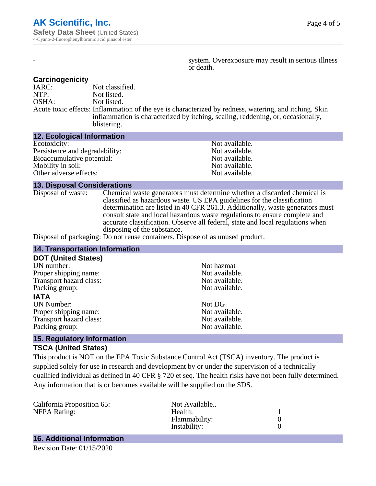system. Overexposure may result in serious illness or death.

#### **Carcinogenicity**

| IARC: | Not classified.                                                                                       |
|-------|-------------------------------------------------------------------------------------------------------|
| NTP:  | Not listed.                                                                                           |
| OSHA: | Not listed.                                                                                           |
|       | Acute toxic effects: Inflammation of the eye is characterized by redness, watering, and itching. Skin |
|       | inflammation is characterized by itching, scaling, reddening, or, occasionally,                       |
|       | blistering.                                                                                           |

#### **12. Ecological Information**

| Not available. |
|----------------|
| Not available. |
| Not available. |
| Not available. |
| Not available. |
|                |

#### **13. Disposal Considerations**

Disposal of waste: Chemical waste generators must determine whether a discarded chemical is classified as hazardous waste. US EPA guidelines for the classification determination are listed in 40 CFR 261.3. Additionally, waste generators must consult state and local hazardous waste regulations to ensure complete and accurate classification. Observe all federal, state and local regulations when disposing of the substance.

Disposal of packaging: Do not reuse containers. Dispose of as unused product.

| <b>14. Transportation Information</b>                                                 |                |  |
|---------------------------------------------------------------------------------------|----------------|--|
| <b>DOT (United States)</b>                                                            |                |  |
| UN number:                                                                            | Not hazmat     |  |
| Proper shipping name:                                                                 | Not available. |  |
| Transport hazard class:                                                               | Not available. |  |
| Packing group:                                                                        | Not available. |  |
| <b>IATA</b>                                                                           |                |  |
| <b>UN Number:</b>                                                                     | Not DG         |  |
| Proper shipping name:                                                                 | Not available. |  |
| Transport hazard class:                                                               | Not available. |  |
| Packing group:                                                                        | Not available. |  |
| $\mathbf{A} = \mathbf{B}$ and $\mathbf{A} = \mathbf{A}$ and $\mathbf{A} = \mathbf{A}$ |                |  |

#### **15. Regulatory Information TSCA (United States)**

This product is NOT on the EPA Toxic Substance Control Act (TSCA) inventory. The product is supplied solely for use in research and development by or under the supervision of a technically qualified individual as defined in 40 CFR § 720 et seq. The health risks have not been fully determined. Any information that is or becomes available will be supplied on the SDS.

| California Proposition 65: | Not Available |  |
|----------------------------|---------------|--|
| <b>NFPA Rating:</b>        | Health:       |  |
|                            | Flammability: |  |
|                            | Instability:  |  |
|                            |               |  |

## **16. Additional Information**

Revision Date: 01/15/2020